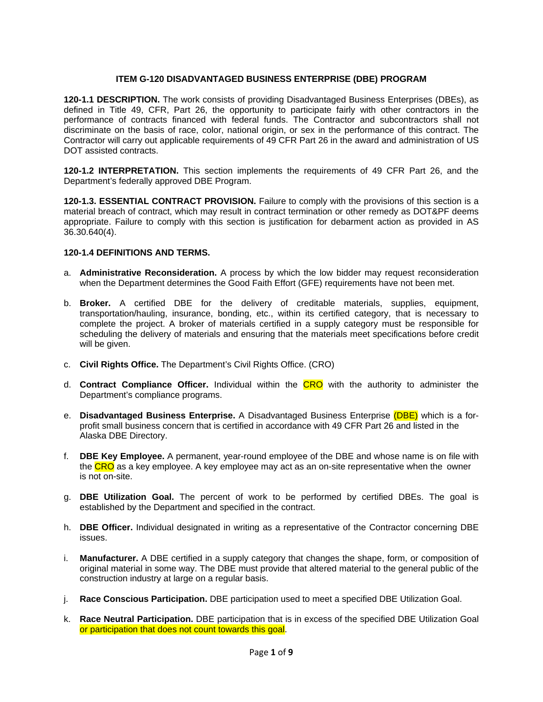# **ITEM G-120 DISADVANTAGED BUSINESS ENTERPRISE (DBE) PROGRAM**

**120-1.1 DESCRIPTION.** The work consists of providing Disadvantaged Business Enterprises (DBEs), as defined in Title 49, CFR, Part 26, the opportunity to participate fairly with other contractors in the performance of contracts financed with federal funds. The Contractor and subcontractors shall not discriminate on the basis of race, color, national origin, or sex in the performance of this contract. The Contractor will carry out applicable requirements of 49 CFR Part 26 in the award and administration of US DOT assisted contracts.

**120-1.2 INTERPRETATION.** This section implements the requirements of 49 CFR Part 26, and the Department's federally approved DBE Program.

**120-1.3. ESSENTIAL CONTRACT PROVISION.** Failure to comply with the provisions of this section is a material breach of contract, which may result in contract termination or other remedy as DOT&PF deems appropriate. Failure to comply with this section is justification for debarment action as provided in AS 36.30.640(4).

### **120-1.4 DEFINITIONS AND TERMS.**

- a. **Administrative Reconsideration.** A process by which the low bidder may request reconsideration when the Department determines the Good Faith Effort (GFE) requirements have not been met.
- b. **Broker.** A certified DBE for the delivery of creditable materials, supplies, equipment, transportation/hauling, insurance, bonding, etc., within its certified category, that is necessary to complete the project. A broker of materials certified in a supply category must be responsible for scheduling the delivery of materials and ensuring that the materials meet specifications before credit will be given.
- c. **Civil Rights Office.** The Department's Civil Rights Office. (CRO)
- d. **Contract Compliance Officer.** Individual within the CRO with the authority to administer the Department's compliance programs.
- e. **Disadvantaged Business Enterprise.** A Disadvantaged Business Enterprise (DBE) which is a forprofit small business concern that is certified in accordance with 49 CFR Part 26 and listed in the Alaska DBE Directory.
- f. **DBE Key Employee.** A permanent, year-round employee of the DBE and whose name is on file with the CRO as a key employee. A key employee may act as an on-site representative when the owner is not on-site.
- g. **DBE Utilization Goal.** The percent of work to be performed by certified DBEs. The goal is established by the Department and specified in the contract.
- h. **DBE Officer.** Individual designated in writing as a representative of the Contractor concerning DBE issues.
- i. **Manufacturer.** A DBE certified in a supply category that changes the shape, form, or composition of original material in some way. The DBE must provide that altered material to the general public of the construction industry at large on a regular basis.
- j. **Race Conscious Participation.** DBE participation used to meet a specified DBE Utilization Goal.
- k. **Race Neutral Participation.** DBE participation that is in excess of the specified DBE Utilization Goal or participation that does not count towards this goal.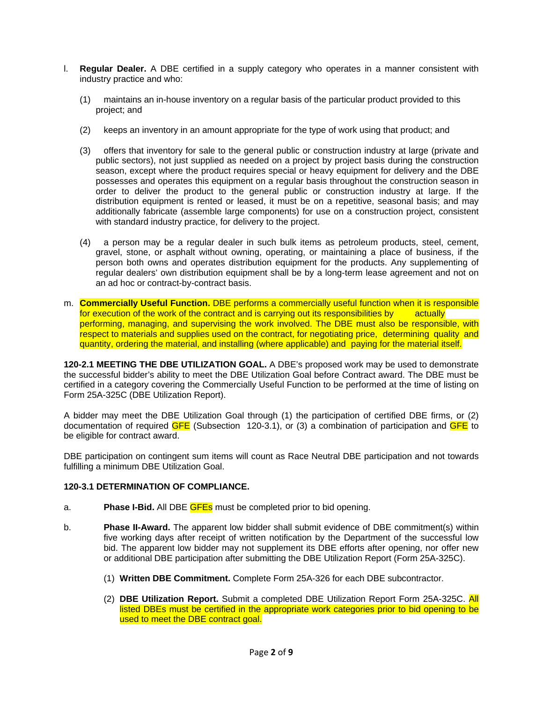- l. **Regular Dealer.** A DBE certified in a supply category who operates in a manner consistent with industry practice and who:
	- (1) maintains an in-house inventory on a regular basis of the particular product provided to this project; and
	- (2) keeps an inventory in an amount appropriate for the type of work using that product; and
	- (3) offers that inventory for sale to the general public or construction industry at large (private and public sectors), not just supplied as needed on a project by project basis during the construction season, except where the product requires special or heavy equipment for delivery and the DBE possesses and operates this equipment on a regular basis throughout the construction season in order to deliver the product to the general public or construction industry at large. If the distribution equipment is rented or leased, it must be on a repetitive, seasonal basis; and may additionally fabricate (assemble large components) for use on a construction project, consistent with standard industry practice, for delivery to the project.
	- (4) a person may be a regular dealer in such bulk items as petroleum products, steel, cement, gravel, stone, or asphalt without owning, operating, or maintaining a place of business, if the person both owns and operates distribution equipment for the products. Any supplementing of regular dealers' own distribution equipment shall be by a long-term lease agreement and not on an ad hoc or contract-by-contract basis.
- m. **Commercially Useful Function.** DBE performs a commercially useful function when it is responsible for execution of the work of the contract and is carrying out its responsibilities by  $\overline{\phantom{a}}$  actually performing, managing, and supervising the work involved. The DBE must also be responsible, with respect to materials and supplies used on the contract, for negotiating price, determining quality and quantity, ordering the material, and installing (where applicable) and paying for the material itself.

**120-2.1 MEETING THE DBE UTILIZATION GOAL.** A DBE's proposed work may be used to demonstrate the successful bidder's ability to meet the DBE Utilization Goal before Contract award. The DBE must be certified in a category covering the Commercially Useful Function to be performed at the time of listing on Form 25A-325C (DBE Utilization Report).

A bidder may meet the DBE Utilization Goal through (1) the participation of certified DBE firms, or (2) documentation of required GFE (Subsection 120-3.1), or (3) a combination of participation and GFE to be eligible for contract award.

DBE participation on contingent sum items will count as Race Neutral DBE participation and not towards fulfilling a minimum DBE Utilization Goal.

## **120-3.1 DETERMINATION OF COMPLIANCE.**

- a. **Phase I-Bid.** All DBE GFEs must be completed prior to bid opening.
- b. **Phase II-Award.** The apparent low bidder shall submit evidence of DBE commitment(s) within five working days after receipt of written notification by the Department of the successful low bid. The apparent low bidder may not supplement its DBE efforts after opening, nor offer new or additional DBE participation after submitting the DBE Utilization Report (Form 25A-325C).
	- (1) **Written DBE Commitment.** Complete Form 25A-326 for each DBE subcontractor.
	- (2) **DBE Utilization Report.** Submit a completed DBE Utilization Report Form 25A-325C. All listed DBEs must be certified in the appropriate work categories prior to bid opening to be used to meet the DBE contract goal.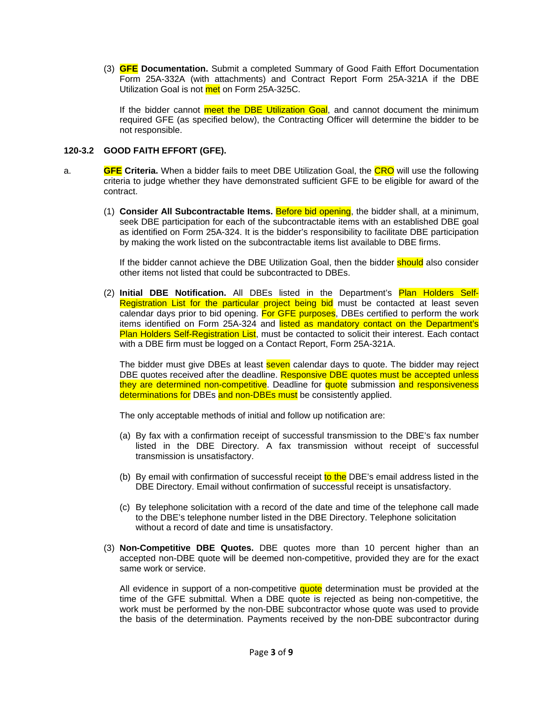(3) **GFE Documentation.** Submit a completed Summary of Good Faith Effort Documentation Form 25A-332A (with attachments) and Contract Report Form 25A-321A if the DBE Utilization Goal is not met on Form 25A-325C.

If the bidder cannot meet the DBE Utilization Goal, and cannot document the minimum required GFE (as specified below), the Contracting Officer will determine the bidder to be not responsible.

# **120-3.2 GOOD FAITH EFFORT (GFE).**

- a. **GFE Criteria.** When a bidder fails to meet DBE Utilization Goal, the CRO will use the following criteria to judge whether they have demonstrated sufficient GFE to be eligible for award of the contract.
	- (1) **Consider All Subcontractable Items.** Before bid opening, the bidder shall, at a minimum, seek DBE participation for each of the subcontractable items with an established DBE goal as identified on Form 25A-324. It is the bidder's responsibility to facilitate DBE participation by making the work listed on the subcontractable items list available to DBE firms.

If the bidder cannot achieve the DBE Utilization Goal, then the bidder **should** also consider other items not listed that could be subcontracted to DBEs.

(2) **Initial DBE Notification.** All DBEs listed in the Department's Plan Holders Self-Registration List for the particular project being bid must be contacted at least seven calendar days prior to bid opening. For GFE purposes, DBEs certified to perform the work items identified on Form 25A-324 and listed as mandatory contact on the Department's Plan Holders Self-Registration List, must be contacted to solicit their interest. Each contact with a DBE firm must be logged on a Contact Report, Form 25A-321A.

The bidder must give DBEs at least **seven** calendar days to quote. The bidder may reject DBE quotes received after the deadline. Responsive DBE quotes must be accepted unless they are determined non-competitive. Deadline for quote submission and responsiveness determinations for DBEs and non-DBEs must be consistently applied.

The only acceptable methods of initial and follow up notification are:

- (a) By fax with a confirmation receipt of successful transmission to the DBE's fax number listed in the DBE Directory. A fax transmission without receipt of successful transmission is unsatisfactory.
- (b) By email with confirmation of successful receipt to the DBE's email address listed in the DBE Directory. Email without confirmation of successful receipt is unsatisfactory.
- (c) By telephone solicitation with a record of the date and time of the telephone call made to the DBE's telephone number listed in the DBE Directory. Telephone solicitation without a record of date and time is unsatisfactory.
- (3) **Non-Competitive DBE Quotes.** DBE quotes more than 10 percent higher than an accepted non-DBE quote will be deemed non-competitive, provided they are for the exact same work or service.

All evidence in support of a non-competitive quote determination must be provided at the time of the GFE submittal. When a DBE quote is rejected as being non-competitive, the work must be performed by the non-DBE subcontractor whose quote was used to provide the basis of the determination. Payments received by the non-DBE subcontractor during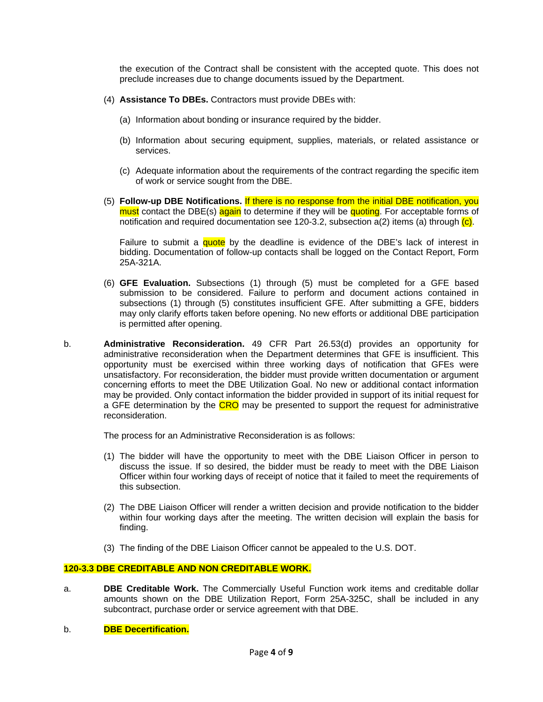the execution of the Contract shall be consistent with the accepted quote. This does not preclude increases due to change documents issued by the Department.

- (4) **Assistance To DBEs.** Contractors must provide DBEs with:
	- (a) Information about bonding or insurance required by the bidder.
	- (b) Information about securing equipment, supplies, materials, or related assistance or services.
	- (c) Adequate information about the requirements of the contract regarding the specific item of work or service sought from the DBE.
- (5) **Follow-up DBE Notifications.** If there is no response from the initial DBE notification, you must contact the DBE(s) again to determine if they will be quoting. For acceptable forms of notification and required documentation see 120-3.2, subsection  $a(2)$  items (a) through  $(c)$ .

Failure to submit a quote by the deadline is evidence of the DBE's lack of interest in bidding. Documentation of follow-up contacts shall be logged on the Contact Report, Form 25A-321A.

- (6) **GFE Evaluation.** Subsections (1) through (5) must be completed for a GFE based submission to be considered. Failure to perform and document actions contained in subsections (1) through (5) constitutes insufficient GFE. After submitting a GFE, bidders may only clarify efforts taken before opening. No new efforts or additional DBE participation is permitted after opening.
- b. **Administrative Reconsideration.** 49 CFR Part 26.53(d) provides an opportunity for administrative reconsideration when the Department determines that GFE is insufficient. This opportunity must be exercised within three working days of notification that GFEs were unsatisfactory. For reconsideration, the bidder must provide written documentation or argument concerning efforts to meet the DBE Utilization Goal. No new or additional contact information may be provided. Only contact information the bidder provided in support of its initial request for a GFE determination by the CRO may be presented to support the request for administrative reconsideration.

The process for an Administrative Reconsideration is as follows:

- (1) The bidder will have the opportunity to meet with the DBE Liaison Officer in person to discuss the issue. If so desired, the bidder must be ready to meet with the DBE Liaison Officer within four working days of receipt of notice that it failed to meet the requirements of this subsection.
- (2) The DBE Liaison Officer will render a written decision and provide notification to the bidder within four working days after the meeting. The written decision will explain the basis for finding.
- (3) The finding of the DBE Liaison Officer cannot be appealed to the U.S. DOT.

# **120-3.3 DBE CREDITABLE AND NON CREDITABLE WORK.**

- a. **DBE Creditable Work.** The Commercially Useful Function work items and creditable dollar amounts shown on the DBE Utilization Report, Form 25A-325C, shall be included in any subcontract, purchase order or service agreement with that DBE.
- b. **DBE Decertification.**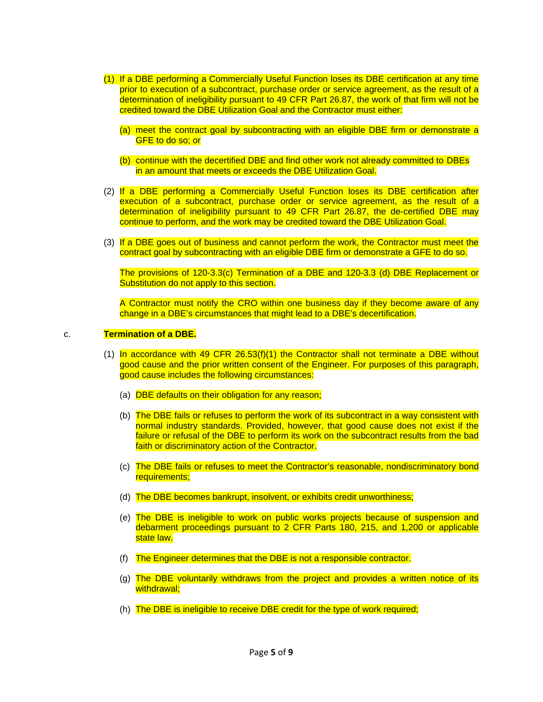- (1) If a DBE performing a Commercially Useful Function loses its DBE certification at any time prior to execution of a subcontract, purchase order or service agreement, as the result of a determination of ineligibility pursuant to 49 CFR Part 26.87, the work of that firm will not be credited toward the DBE Utilization Goal and the Contractor must either:
	- (a) meet the contract goal by subcontracting with an eligible DBE firm or demonstrate a GFE to do so; or
	- (b) continue with the decertified DBE and find other work not already committed to DBEs in an amount that meets or exceeds the DBE Utilization Goal.
- (2) If a DBE performing a Commercially Useful Function loses its DBE certification after execution of a subcontract, purchase order or service agreement, as the result of a determination of ineligibility pursuant to 49 CFR Part 26.87, the de-certified DBE may continue to perform, and the work may be credited toward the DBE Utilization Goal.
- (3) If a DBE goes out of business and cannot perform the work, the Contractor must meet the contract goal by subcontracting with an eligible DBE firm or demonstrate a GFE to do so.

The provisions of 120-3.3(c) Termination of a DBE and 120-3.3 (d) DBE Replacement or Substitution do not apply to this section.

A Contractor must notify the CRO within one business day if they become aware of any change in a DBE's circumstances that might lead to a DBE's decertification.

### c. **Termination of a DBE.**

- (1) In accordance with 49 CFR  $26.53(f)(1)$  the Contractor shall not terminate a DBE without good cause and the prior written consent of the Engineer. For purposes of this paragraph, good cause includes the following circumstances:
	- (a) DBE defaults on their obligation for any reason;
	- (b) The DBE fails or refuses to perform the work of its subcontract in a way consistent with normal industry standards. Provided, however, that good cause does not exist if the failure or refusal of the DBE to perform its work on the subcontract results from the bad faith or discriminatory action of the Contractor.
	- (c) The DBE fails or refuses to meet the Contractor's reasonable, nondiscriminatory bond requirements;
	- (d) The DBE becomes bankrupt, insolvent, or exhibits credit unworthiness;
	- (e) The DBE is ineligible to work on public works projects because of suspension and debarment proceedings pursuant to 2 CFR Parts 180, 215, and 1,200 or applicable state law.
	- (f) The Engineer determines that the DBE is not a responsible contractor.
	- (g) The DBE voluntarily withdraws from the project and provides a written notice of its withdrawal:
	- (h) The DBE is ineligible to receive DBE credit for the type of work required;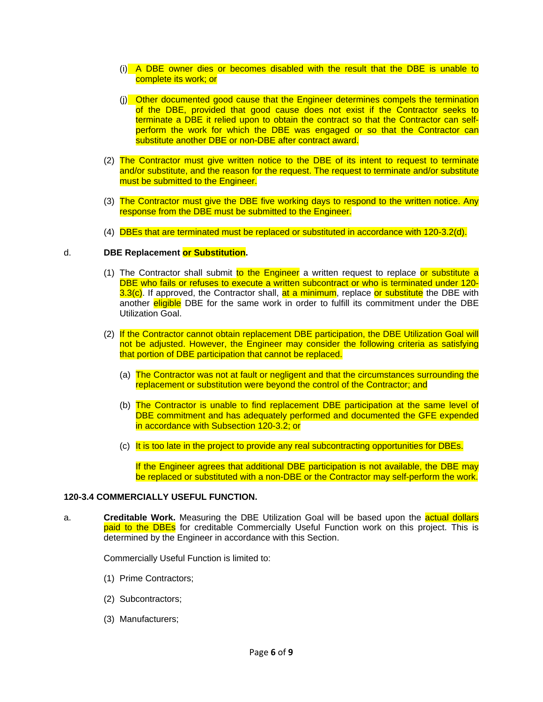- (i) A DBE owner dies or becomes disabled with the result that the DBE is unable to complete its work; or
- (j) Other documented good cause that the Engineer determines compels the termination of the DBE, provided that good cause does not exist if the Contractor seeks to terminate a DBE it relied upon to obtain the contract so that the Contractor can selfperform the work for which the DBE was engaged or so that the Contractor can substitute another DBE or non-DBE after contract award.
- (2) The Contractor must give written notice to the DBE of its intent to request to terminate and/or substitute, and the reason for the request. The request to terminate and/or substitute must be submitted to the Engineer.
- (3) The Contractor must give the DBE five working days to respond to the written notice. Any response from the DBE must be submitted to the Engineer.
- (4) DBEs that are terminated must be replaced or substituted in accordance with 120-3.2(d).

### d. **DBE Replacement or Substitution.**

- (1) The Contractor shall submit to the Engineer a written request to replace or substitute a DBE who fails or refuses to execute a written subcontract or who is terminated under 120- 3.3(c). If approved, the Contractor shall, at a minimum, replace or substitute the DBE with another **eligible** DBE for the same work in order to fulfill its commitment under the DBE Utilization Goal.
- (2) If the Contractor cannot obtain replacement DBE participation, the DBE Utilization Goal will not be adjusted. However, the Engineer may consider the following criteria as satisfying that portion of DBE participation that cannot be replaced.
	- (a) The Contractor was not at fault or negligent and that the circumstances surrounding the replacement or substitution were beyond the control of the Contractor; and
	- (b) The Contractor is unable to find replacement DBE participation at the same level of DBE commitment and has adequately performed and documented the GFE expended in accordance with Subsection 120-3.2; or
	- (c) It is too late in the project to provide any real subcontracting opportunities for DBEs.

If the Engineer agrees that additional DBE participation is not available, the DBE may be replaced or substituted with a non-DBE or the Contractor may self-perform the work.

## **120-3.4 COMMERCIALLY USEFUL FUNCTION.**

a. **Creditable Work.** Measuring the DBE Utilization Goal will be based upon the actual dollars paid to the DBEs for creditable Commercially Useful Function work on this project. This is determined by the Engineer in accordance with this Section.

Commercially Useful Function is limited to:

- (1) Prime Contractors;
- (2) Subcontractors;
- (3) Manufacturers;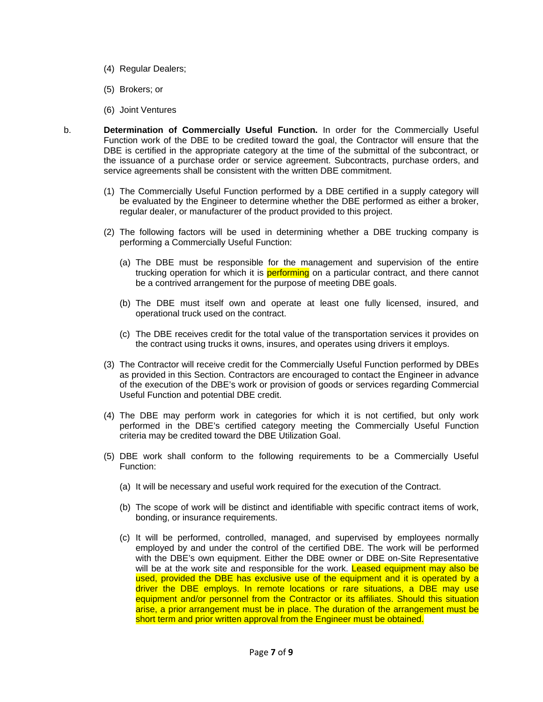- (4) Regular Dealers;
- (5) Brokers; or
- (6) Joint Ventures
- b. **Determination of Commercially Useful Function.** In order for the Commercially Useful Function work of the DBE to be credited toward the goal, the Contractor will ensure that the DBE is certified in the appropriate category at the time of the submittal of the subcontract, or the issuance of a purchase order or service agreement. Subcontracts, purchase orders, and service agreements shall be consistent with the written DBE commitment.
	- (1) The Commercially Useful Function performed by a DBE certified in a supply category will be evaluated by the Engineer to determine whether the DBE performed as either a broker, regular dealer, or manufacturer of the product provided to this project.
	- (2) The following factors will be used in determining whether a DBE trucking company is performing a Commercially Useful Function:
		- (a) The DBE must be responsible for the management and supervision of the entire trucking operation for which it is **performing** on a particular contract, and there cannot be a contrived arrangement for the purpose of meeting DBE goals.
		- (b) The DBE must itself own and operate at least one fully licensed, insured, and operational truck used on the contract.
		- (c) The DBE receives credit for the total value of the transportation services it provides on the contract using trucks it owns, insures, and operates using drivers it employs.
	- (3) The Contractor will receive credit for the Commercially Useful Function performed by DBEs as provided in this Section. Contractors are encouraged to contact the Engineer in advance of the execution of the DBE's work or provision of goods or services regarding Commercial Useful Function and potential DBE credit.
	- (4) The DBE may perform work in categories for which it is not certified, but only work performed in the DBE's certified category meeting the Commercially Useful Function criteria may be credited toward the DBE Utilization Goal.
	- (5) DBE work shall conform to the following requirements to be a Commercially Useful Function:
		- (a) It will be necessary and useful work required for the execution of the Contract.
		- (b) The scope of work will be distinct and identifiable with specific contract items of work, bonding, or insurance requirements.
		- (c) It will be performed, controlled, managed, and supervised by employees normally employed by and under the control of the certified DBE. The work will be performed with the DBE's own equipment. Either the DBE owner or DBE on-Site Representative will be at the work site and responsible for the work. Leased equipment may also be used, provided the DBE has exclusive use of the equipment and it is operated by a driver the DBE employs. In remote locations or rare situations, a DBE may use equipment and/or personnel from the Contractor or its affiliates. Should this situation arise, a prior arrangement must be in place. The duration of the arrangement must be short term and prior written approval from the Engineer must be obtained.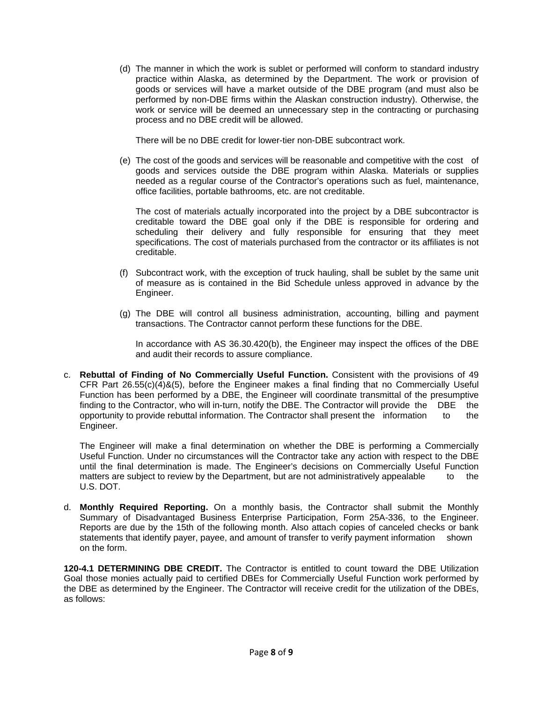(d) The manner in which the work is sublet or performed will conform to standard industry practice within Alaska, as determined by the Department. The work or provision of goods or services will have a market outside of the DBE program (and must also be performed by non-DBE firms within the Alaskan construction industry). Otherwise, the work or service will be deemed an unnecessary step in the contracting or purchasing process and no DBE credit will be allowed.

There will be no DBE credit for lower-tier non-DBE subcontract work.

(e) The cost of the goods and services will be reasonable and competitive with the cost of goods and services outside the DBE program within Alaska. Materials or supplies needed as a regular course of the Contractor's operations such as fuel, maintenance, office facilities, portable bathrooms, etc. are not creditable.

The cost of materials actually incorporated into the project by a DBE subcontractor is creditable toward the DBE goal only if the DBE is responsible for ordering and scheduling their delivery and fully responsible for ensuring that they meet specifications. The cost of materials purchased from the contractor or its affiliates is not creditable.

- (f) Subcontract work, with the exception of truck hauling, shall be sublet by the same unit of measure as is contained in the Bid Schedule unless approved in advance by the Engineer.
- (g) The DBE will control all business administration, accounting, billing and payment transactions. The Contractor cannot perform these functions for the DBE.

In accordance with AS 36.30.420(b), the Engineer may inspect the offices of the DBE and audit their records to assure compliance.

c. **Rebuttal of Finding of No Commercially Useful Function.** Consistent with the provisions of 49 CFR Part  $26.55(c)(4)$ &(5), before the Engineer makes a final finding that no Commercially Useful Function has been performed by a DBE, the Engineer will coordinate transmittal of the presumptive finding to the Contractor, who will in-turn, notify the DBE. The Contractor will provide the DBE the opportunity to provide rebuttal information. The Contractor shall present the information to the Engineer.

The Engineer will make a final determination on whether the DBE is performing a Commercially Useful Function. Under no circumstances will the Contractor take any action with respect to the DBE until the final determination is made. The Engineer's decisions on Commercially Useful Function matters are subject to review by the Department, but are not administratively appealable to the U.S. DOT.

d. **Monthly Required Reporting.** On a monthly basis, the Contractor shall submit the Monthly Summary of Disadvantaged Business Enterprise Participation, Form 25A-336, to the Engineer. Reports are due by the 15th of the following month. Also attach copies of canceled checks or bank statements that identify payer, payee, and amount of transfer to verify payment information shown on the form.

**120-4.1 DETERMINING DBE CREDIT.** The Contractor is entitled to count toward the DBE Utilization Goal those monies actually paid to certified DBEs for Commercially Useful Function work performed by the DBE as determined by the Engineer. The Contractor will receive credit for the utilization of the DBEs, as follows: